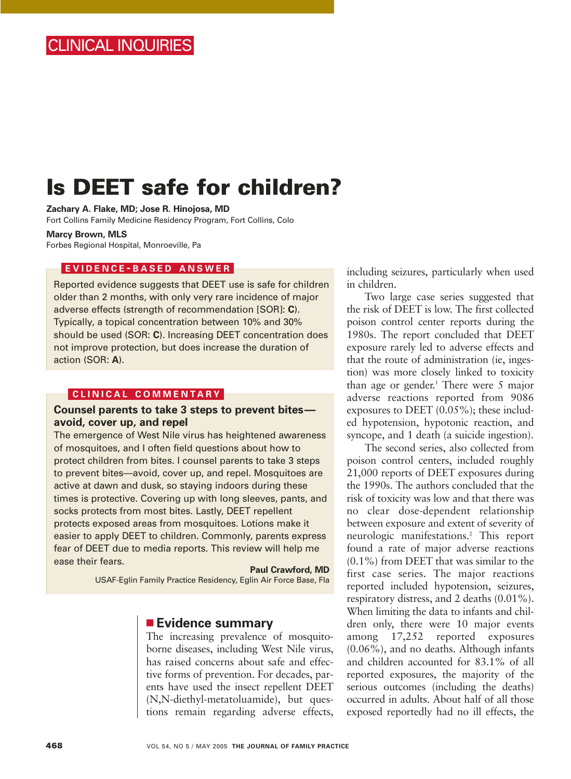# **Is DEET safe for children?**

**Zachary A. Flake, MD; Jose R. Hinojosa, MD** Fort Collins Family Medicine Residency Program, Fort Collins, Colo

#### **Marcy Brown, MLS**

Forbes Regional Hospital, Monroeville, Pa

### **EVIDENCE - BASED ANSWER**

Reported evidence suggests that DEET use is safe for children older than 2 months, with only very rare incidence of major adverse effects (strength of recommendation [SOR]: **C**). Typically, a topical concentration between 10% and 30% should be used (SOR: **C**). Increasing DEET concentration does not improve protection, but does increase the duration of action (SOR: **A**).

### **CLINICAL COMMENTARY**

## **Counsel parents to take 3 steps to prevent bites avoid, cover up, and repel**

The emergence of West Nile virus has heightened awareness of mosquitoes, and I often field questions about how to protect children from bites. I counsel parents to take 3 steps to prevent bites—avoid, cover up, and repel. Mosquitoes are active at dawn and dusk, so staying indoors during these times is protective. Covering up with long sleeves, pants, and socks protects from most bites. Lastly, DEET repellent protects exposed areas from mosquitoes. Lotions make it easier to apply DEET to children. Commonly, parents express fear of DEET due to media reports. This review will help me ease their fears.

**Paul Crawford, MD**  USAF-Eglin Family Practice Residency, Eglin Air Force Base, Fla

## ■ **Evidence summary**

The increasing prevalence of mosquitoborne diseases, including West Nile virus, has raised concerns about safe and effective forms of prevention. For decades, parents have used the insect repellent DEET (N,N-diethyl-metatoluamide), but questions remain regarding adverse effects,

including seizures, particularly when used in children.

Two large case series suggested that the risk of DEET is low. The first collected poison control center reports during the 1980s. The report concluded that DEET exposure rarely led to adverse effects and that the route of administration (ie, ingestion) was more closely linked to toxicity than age or gender.<sup>1</sup> There were 5 major adverse reactions reported from 9086 exposures to DEET (0.05%); these included hypotension, hypotonic reaction, and syncope, and 1 death (a suicide ingestion).

The second series, also collected from poison control centers, included roughly 21,000 reports of DEET exposures during the 1990s. The authors concluded that the risk of toxicity was low and that there was no clear dose-dependent relationship between exposure and extent of severity of neurologic manifestations.2 This report found a rate of major adverse reactions (0.1%) from DEET that was similar to the first case series. The major reactions reported included hypotension, seizures, respiratory distress, and 2 deaths (0.01%). When limiting the data to infants and children only, there were 10 major events among 17,252 reported exposures (0.06%), and no deaths. Although infants and children accounted for 83.1% of all reported exposures, the majority of the serious outcomes (including the deaths) occurred in adults. About half of all those exposed reportedly had no ill effects, the